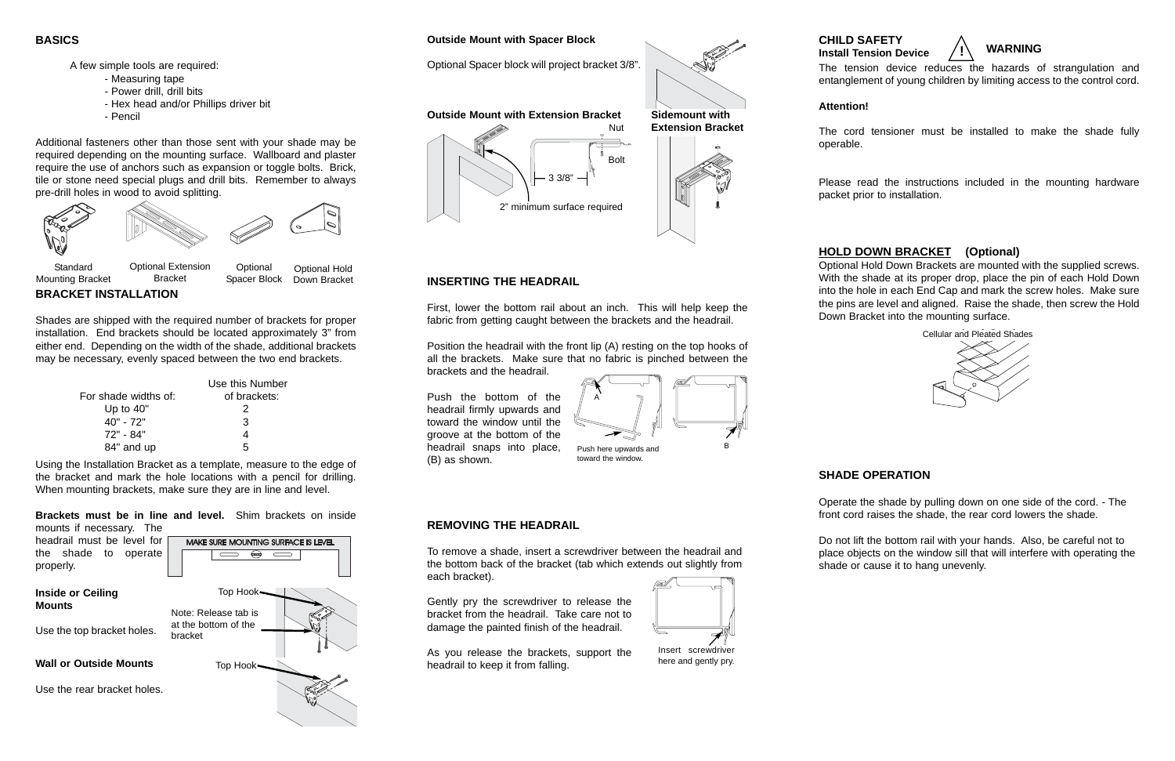### **BASICS**

A few simple tools are required:

- Measuring tape
- Power drill, drill bits
- Hex head and/or Phillips driver bit
- Pencil

Additional fasteners other than those sent with your shade may be required depending on the mounting surface. Wallboard and plaster require the use of anchors such as expansion or toggle bolts. Brick, tile or stone need special plugs and drill bits. Remember to always pre-drill holes in wood to avoid splitting.

**BRACKET INSTALLATION**

Shades are shipped with the required number of brackets for proper installation. End brackets should be located approximately 3" from either end. Depending on the width of the shade, additional brackets may be necessary, evenly spaced between the two end brackets.

|                      | Use this Number |
|----------------------|-----------------|
| For shade widths of: | of brackets:    |
| Up to $40"$          | 2               |
| 40" - 72"            | 3               |
| 72" - 84"            | 4               |
| 84" and up           | 5               |

## **INSERTING THE HEADRAIL**

First, lower the bottom rail about an inch. This will help keep the fabric from getting caught between the brackets and the headrail.

Position the headrail with the front lip (A) resting on the top hooks of all the brackets. Make sure that no fabric is pinched between the brackets and the headrail.

Push the bottom of the headrail firmly upwards and toward the window until the groove at the bottom of the headrail snaps into place, (B) as shown.

Mounting Bracket Bracket



Spacer Block Down Bracket

Using the Installation Bracket as a template, measure to the edge of the bracket and mark the hole locations with a pencil for drilling. When mounting brackets, make sure they are in line and level.

**Brackets must be in line and level.** Shim brackets on inside mounts if necessary. The



#### **Outside Mount with Spacer Block**

Optional Spacer block will project bracket 3/8".

Push here upwards and toward the window.



**Outside Mount with Extension Bracket**

Nut

Bolt





2" minimum surface required

3 3/8"

# **REMOVING THE HEADRAIL**

To remove a shade, insert a screwdriver between the headrail and the bottom back of the bracket (tab which extends out slightly from each bracket).

Gently pry the screwdriver to release the bracket from the headrail. Take care not to damage the painted finish of the headrail.

As you release the brackets, support the headrail to keep it from falling.



Insert screwdriver here and gently pry.

**CHILD SAFETY**

The tension device reduces the hazards of strangulation and entanglement of young children by limiting access to the control cord.

**Attention!**

# **Install Tension Device ! WARNING**

The cord tensioner must be installed to make the shade fully

operable.

Please read the instructions included in the mounting hardware packet prior to installation.

# **SHADE OPERATION**

Operate the shade by pulling down on one side of the cord. - The front cord raises the shade, the rear cord lowers the shade.

Do not lift the bottom rail with your hands. Also, be careful not to place objects on the window sill that will interfere with operating the shade or cause it to hang unevenly.

# **HOLD DOWN BRACKET (Optional)**

Optional Hold Down Brackets are mounted with the supplied screws. With the shade at its proper drop, place the pin of each Hold Down into the hole in each End Cap and mark the screw holes. Make sure the pins are level and aligned. Raise the shade, then screw the Hold Down Bracket into the mounting surface.